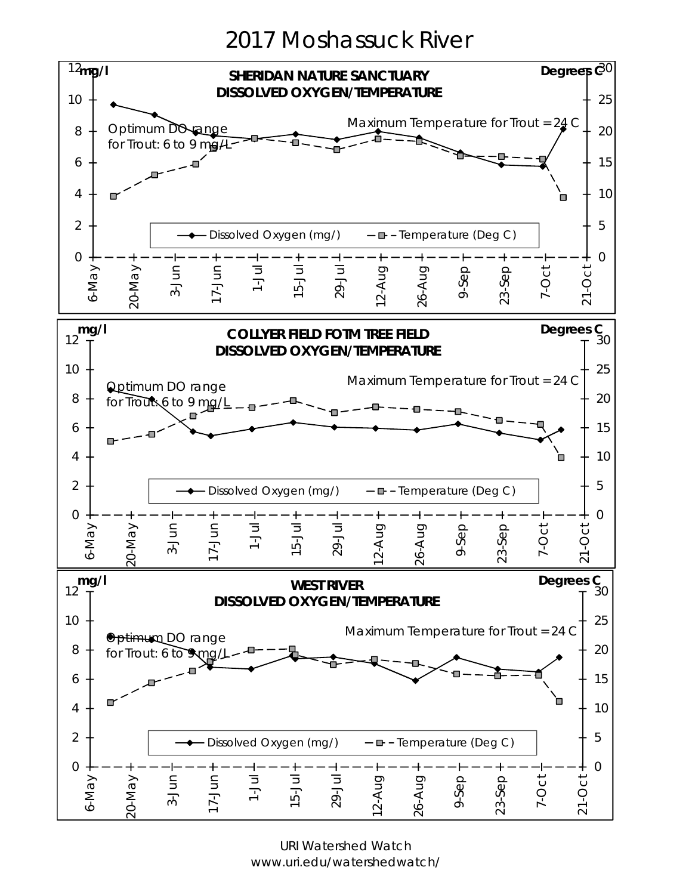2017 Moshassuck River



URI Watershed Watch www.uri.edu/watershedwatch/